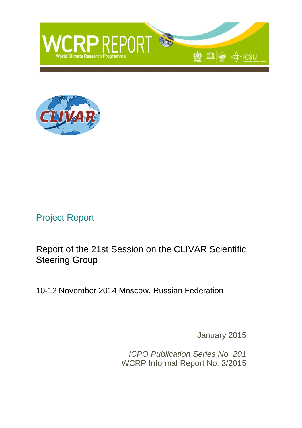



# Project Report

Report of the 21st Session on the CLIVAR Scientific Steering Group

10-12 November 2014 Moscow, Russian Federation

January 2015

*ICPO Publication Series No. 201* WCRP Informal Report No. 3/2015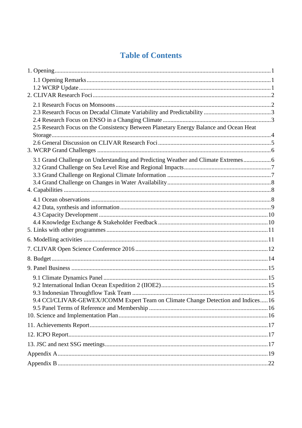# **Table of Contents**

| 2.5 Research Focus on the Consistency Between Planetary Energy Balance and Ocean Heat |  |
|---------------------------------------------------------------------------------------|--|
|                                                                                       |  |
|                                                                                       |  |
|                                                                                       |  |
| 3.1 Grand Challenge on Understanding and Predicting Weather and Climate Extremes 6    |  |
|                                                                                       |  |
|                                                                                       |  |
|                                                                                       |  |
|                                                                                       |  |
|                                                                                       |  |
|                                                                                       |  |
|                                                                                       |  |
|                                                                                       |  |
|                                                                                       |  |
|                                                                                       |  |
|                                                                                       |  |
|                                                                                       |  |
|                                                                                       |  |
|                                                                                       |  |
|                                                                                       |  |
| 9.4 CCl/CLIVAR-GEWEX/JCOMM Expert Team on Climate Change Detection and Indices 16     |  |
|                                                                                       |  |
|                                                                                       |  |
|                                                                                       |  |
|                                                                                       |  |
|                                                                                       |  |
|                                                                                       |  |
|                                                                                       |  |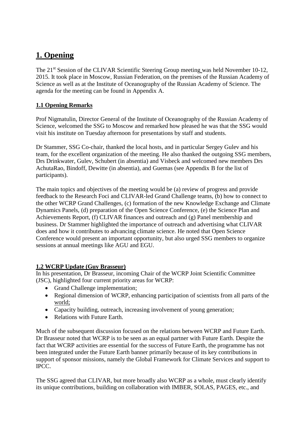# <span id="page-2-0"></span>**1. Opening**

The 21<sup>st</sup> Session of the CLIVAR Scientific Steering Group meeting was held November 10-12, 2015. It took place in Moscow, Russian Federation, on the premises of the Russian Academy of Science as well as at the Institute of Oceanography of the Russian Academy of Science. The agenda for the meeting can be found in Appendix A.

### <span id="page-2-1"></span>**1.1 Opening Remarks**

Prof Nigmatulin, Director General of the Institute of Oceanography of the Russian Academy of Science, welcomed the SSG to Moscow and remarked how pleased he was that the SSG would visit his institute on Tuesday afternoon for presentations by staff and students.

Dr Stammer, SSG Co-chair, thanked the local hosts, and in particular Sergey Gulev and his team, for the excellent organization of the meeting. He also thanked the outgoing SSG members, Drs Drinkwater, Gulev, Schubert (in absentia) and Visbeck and welcomed new members Drs AchutaRao, Bindoff, Dewitte (in absentia), and Guemas (see Appendix B for the list of participants).

The main topics and objectives of the meeting would be (a) review of progress and provide feedback to the Research Foci and CLIVAR-led Grand Challenge teams, (b) how to connect to the other WCRP Grand Challenges, (c) formation of the new Knowledge Exchange and Climate Dynamics Panels, (d) preparation of the Open Science Conference, (e) the Science Plan and Achievements Report, (f) CLIVAR finances and outreach and (g) Panel membership and business. Dr Stammer highlighted the importance of outreach and advertising what CLIVAR does and how it contributes to advancing climate science. He noted that Open Science Conference would present an important opportunity, but also urged SSG members to organize sessions at annual meetings like AGU and EGU.

### <span id="page-2-2"></span>**1.2 WCRP Update (Guy Brasseur)**

In his presentation, Dr Brasseur, incoming Chair of the WCRP Joint Scientific Committee (JSC), highlighted four current priority areas for WCRP:

- Grand Challenge implementation;
- Regional dimension of WCRP, enhancing participation of scientists from all parts of the world;
- Capacity building, outreach, increasing involvement of young generation;
- Relations with Future Earth.

Much of the subsequent discussion focused on the relations between WCRP and Future Earth. Dr Brasseur noted that WCRP is to be seen as an equal partner with Future Earth. Despite the fact that WCRP activities are essential for the success of Future Earth, the programme has not been integrated under the Future Earth banner primarily because of its key contributions in support of sponsor missions, namely the Global Framework for Climate Services and support to IPCC.

The SSG agreed that CLIVAR, but more broadly also WCRP as a whole, must clearly identify its unique contributions, building on collaboration with IMBER, SOLAS, PAGES, etc., and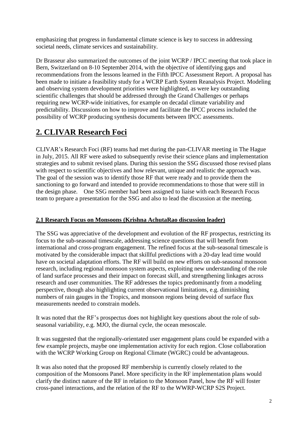emphasizing that progress in fundamental climate science is key to success in addressing societal needs, climate services and sustainability.

Dr Brasseur also summarized the outcomes of the joint WCRP / IPCC meeting that took place in Bern, Switzerland on 8-10 September 2014, with the objective of identifying gaps and recommendations from the lessons learned in the Fifth IPCC Assessment Report. A proposal has been made to initiate a feasibility study for a WCRP Earth System Reanalysis Project. Modeling and observing system development priorities were highlighted, as were key outstanding scientific challenges that should be addressed through the Grand Challenges or perhaps requiring new WCRP-wide initiatives, for example on decadal climate variability and predictability. Discussions on how to improve and facilitate the IPCC process included the possibility of WCRP producing synthesis documents between IPCC assessments.

# <span id="page-3-0"></span>**2. CLIVAR Research Foci**

CLIVAR's Research Foci (RF) teams had met during the pan-CLIVAR meeting in The Hague in July, 2015. All RF were asked to subsequently revise their science plans and implementation strategies and to submit revised plans. During this session the SSG discussed those revised plans with respect to scientific objectives and how relevant, unique and realistic the approach was. The goal of the session was to identify those RF that were ready and to provide them the sanctioning to go forward and intended to provide recommendations to those that were still in the design phase. One SSG member had been assigned to liaise with each Research Focus team to prepare a presentation for the SSG and also to lead the discussion at the meeting.

### <span id="page-3-1"></span>**2.1 Research Focus on Monsoons (Krishna AchutaRao discussion leader)**

The SSG was appreciative of the development and evolution of the RF prospectus, restricting its focus to the sub-seasonal timescale, addressing science questions that will benefit from international and cross-program engagement. The refined focus at the sub-seasonal timescale is motivated by the considerable impact that skillful predictions with a 20-day lead time would have on societal adaptation efforts. The RF will build on new efforts on sub-seasonal monsoon research, including regional monsoon system aspects, exploiting new understanding of the role of land surface processes and their impact on forecast skill, and strengthening linkages across research and user communities. The RF addresses the topics predominantly from a modeling perspective, though also highlighting current observational limitations, e.g. diminishing numbers of rain gauges in the Tropics, and monsoon regions being devoid of surface flux measurements needed to constrain models.

It was noted that the RF's prospectus does not highlight key questions about the role of subseasonal variability, e.g. MJO, the diurnal cycle, the ocean mesoscale.

It was suggested that the regionally-orientated user engagement plans could be expanded with a few example projects, maybe one implementation activity for each region. Close collaboration with the WCRP Working Group on Regional Climate (WGRC) could be advantageous.

It was also noted that the proposed RF membership is currently closely related to the composition of the Monsoons Panel. More specificity in the RF implementation plans would clarify the distinct nature of the RF in relation to the Monsoon Panel, how the RF will foster cross-panel interactions, and the relation of the RF to the WWRP-WCRP S2S Project.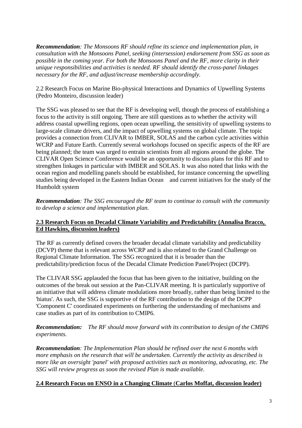*Recommendation: The Monsoons RF should refine its science and implementation plan, in consultation with the Monsoons Panel, seeking (intersession) endorsement from SSG as soon as possible in the coming year. For both the Monsoons Panel and the RF, more clarity in their unique responsibilities and activities is needed. RF should identify the cross-panel linkages necessary for the RF, and adjust/increase membership accordingly.*

2.2 Research Focus on Marine Bio-physical Interactions and Dynamics of Upwelling Systems (Pedro Monteiro, discussion leader)

The SSG was pleased to see that the RF is developing well, though the process of establishing a focus to the activity is still ongoing. There are still questions as to whether the activity will address coastal upwelling regions, open ocean upwelling, the sensitivity of upwelling systems to large-scale climate drivers, and the impact of upwelling systems on global climate. The topic provides a connection from CLIVAR to IMBER, SOLAS and the carbon cycle activities within WCRP and Future Earth. Currently several workshops focused on specific aspects of the RF are being planned; the team was urged to entrain scientists from all regions around the globe. The CLIVAR Open Science Conference would be an opportunity to discuss plans for this RF and to strengthen linkages in particular with IMBER and SOLAS. It was also noted that links with the ocean region and modelling panels should be established, for instance concerning the upwelling studies being developed in the Eastern Indian Ocean and current initiatives for the study of the Humboldt system

*Recommendation: The SSG encouraged the RF team to continue to consult with the community to develop a science and implementation plan.*

### <span id="page-4-0"></span>**2.3 Research Focus on Decadal Climate Variability and Predictability (Annalisa Bracco, Ed Hawkins, discussion leaders)**

The RF as currently defined covers the broader decadal climate variability and predictability (DCVP) theme that is relevant across WCRP and is also related to the Grand Challenge on Regional Climate Information. The SSG recognized that it is broader than the predictability/prediction focus of the Decadal Climate Prediction Panel/Project (DCPP).

The CLIVAR SSG applauded the focus that has been given to the initiative, building on the outcomes of the break out session at the Pan-CLIVAR meeting. It is particularly supportive of an initiative that will address climate modulations more broadly, rather than being limited to the 'hiatus'. As such, the SSG is supportive of the RF contribution to the design of the DCPP 'Component C' coordinated experiments on furthering the understanding of mechanisms and case studies as part of its contribution to CMIP6.

*Recommendation: The RF should move forward with its contribution to design of the CMIP6 experiments.*

*Recommendation: The Implementation Plan should be refined over the next 6 months with more emphasis on the research that will be undertaken. Currently the activity as described is more like an oversight 'panel' with proposed activities such as monitoring, advocating, etc. The SSG will review progress as soon the revised Plan is made available.*

### <span id="page-4-1"></span>**2.4 Research Focus on ENSO in a Changing Climate** (**Carlos Moffat, discussion leader)**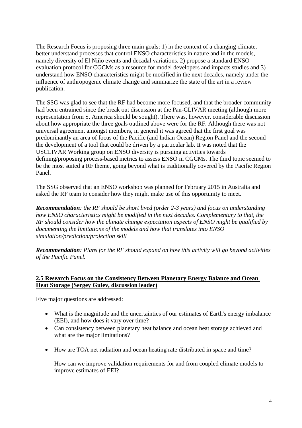The Research Focus is proposing three main goals: 1) in the context of a changing climate, better understand processes that control ENSO characteristics in nature and in the models, namely diversity of El Niño events and decadal variations, 2) propose a standard ENSO evaluation protocol for CGCMs as a resource for model developers and impacts studies and 3) understand how ENSO characteristics might be modified in the next decades, namely under the influence of anthropogenic climate change and summarize the state of the art in a review publication.

The SSG was glad to see that the RF had become more focused, and that the broader community had been entrained since the break out discussion at the Pan-CLIVAR meeting (although more representation from S. America should be sought). There was, however, considerable discussion about how appropriate the three goals outlined above were for the RF. Although there was not universal agreement amongst members, in general it was agreed that the first goal was predominantly an area of focus of the Pacific (and Indian Ocean) Region Panel and the second the development of a tool that could be driven by a particular lab. It was noted that the USCLIVAR Working group on ENSO diversity is pursuing activities towards defining/proposing process-based metrics to assess ENSO in CGCMs. The third topic seemed to be the most suited a RF theme, going beyond what is traditionally covered by the Pacific Region Panel.

The SSG observed that an ENSO workshop was planned for February 2015 in Australia and asked the RF team to consider how they might make use of this opportunity to meet.

*Recommendation: the RF should be short lived (order 2-3 years) and focus on understanding how ENSO characteristics might be modified in the next decades. Complementary to that, the RF should consider how the climate change expectation aspects of ENSO might be qualified by documenting the limitations of the models and how that translates into ENSO simulation/prediction/projection skill*

*Recommendation: Plans for the RF should expand on how this activity will go beyond activities of the Pacific Panel.*

### <span id="page-5-0"></span>**2.5 Research Focus on the Consistency Between Planetary Energy Balance and Ocean Heat Storage (Sergey Gulev, discussion leader)**

Five major questions are addressed:

- What is the magnitude and the uncertainties of our estimates of Earth's energy imbalance (EEI), and how does it vary over time?
- Can consistency between planetary heat balance and ocean heat storage achieved and what are the major limitations?
- How are TOA net radiation and ocean heating rate distributed in space and time?

How can we improve validation requirements for and from coupled climate models to improve estimates of EEI?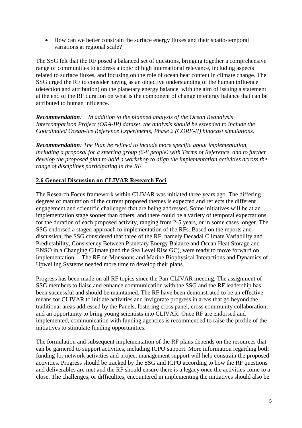How can we better constrain the surface energy fluxes and their spatio-temporal variations at regional scale?

The SSG felt that the RF posed a balanced set of questions, bringing together a comprehensive range of communities to address a topic of high international relevance, including aspects related to surface fluxes, and focusing on the role of ocean heat content in climate change. The SSG urged the RF to consider having as an objective understanding of the human influence (detection and attribution) on the planetary energy balance, with the aim of issuing a statement at the end of the RF duration on what is the component of change in energy balance that can be attributed to human influence.

*Recommendation: In addition to the planned analysis of the Ocean Reanalysis Intercomparison Project (ORA-IP) dataset, the analysis should be extended to include the Coordinated Ocean-ice Reference Experiments, Phase 2 (CORE-II) hindcast simulations.* 

*Recommendation: The Plan be refined to include more specific about implementation, including a proposal for a steering group (6-8 people) with Terms of Reference, and to further develop the proposed plan to hold a workshop to align the implementation activities across the range of disciplines participating in the RF.*

### <span id="page-6-0"></span>**2.6 General Discussion on CLIVAR Research Foci**

The Research Focus framework within CLIVAR was initiated three years ago. The differing degrees of maturation of the current proposed themes is expected and reflects the different engagement and scientific challenges that are being addressed. Some initiatives will be at an implementation stage sooner than others, and there could be a variety of temporal expectations for the duration of each proposed activity, ranging from 2-5 years, or in some cases longer. The SSG endorsed a staged approach to implementation of the RFs. Based on the reports and discussion, the SSG considered that three of the RF, namely Decadal Climate Variability and Predictability, Consistency Between Planetary Energy Balance and Ocean Heat Storage and ENSO in a Changing Climate (and the Sea Level Rise GC), were ready to move forward on implementation. The RF on Monsoons and Marine Biophysical Interactions and Dynamics of Upwelling Systems needed more time to develop their plans.

Progress has been made on all RF topics since the Pan-CLIVAR meeting. The assignment of SSG members to liaise and enhance communication with the SSG and the RF leadership has been successful and should be maintained. The RF have been demonstrated to be an effective means for CLIVAR to initiate activities and invigorate progress in areas that go beyond the traditional areas addressed by the Panels, fostering cross panel, cross community collaboration, and an opportunity to bring young scientists into CLIVAR. Once RF are endorsed and implemented, communication with funding agencies is recommended to raise the profile of the initiatives to stimulate funding opportunities.

The formulation and subsequent implementation of the RF plans depends on the resources that can be garnered to support activities, including ICPO support. More information regarding both funding for network activities and project management support will help constrain the proposed activities. Progress should be tracked by the SSG and ICPO according to how the RF questions and deliverables are met and the RF should ensure there is a legacy once the activities come to a close. The challenges, or difficulties, encountered in implementing the initiatives should also be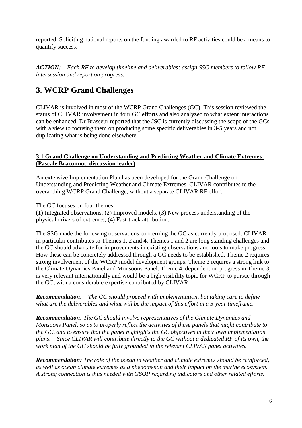reported. Soliciting national reports on the funding awarded to RF activities could be a means to quantify success.

*ACTION: Each RF to develop timeline and deliverables; assign SSG members to follow RF intersession and report on progress.*

### <span id="page-7-0"></span>**3. WCRP Grand Challenges**

CLIVAR is involved in most of the WCRP Grand Challenges (GC). This session reviewed the status of CLIVAR involvement in four GC efforts and also analyzed to what extent interactions can be enhanced. Dr Brasseur reported that the JSC is currently discussing the scope of the GCs with a view to focusing them on producing some specific deliverables in 3-5 years and not duplicating what is being done elsewhere.

### <span id="page-7-1"></span>**3.1 Grand Challenge on Understanding and Predicting Weather and Climate Extremes (Pascale Braconnot, discussion leader)**

An extensive Implementation Plan has been developed for the Grand Challenge on Understanding and Predicting Weather and Climate Extremes. CLIVAR contributes to the overarching WCRP Grand Challenge, without a separate CLIVAR RF effort.

The GC focuses on four themes:

(1) Integrated observations, (2) Improved models, (3) New process understanding of the physical drivers of extremes, (4) Fast-track attribution.

The SSG made the following observations concerning the GC as currently proposed: CLIVAR in particular contributes to Themes 1, 2 and 4. Themes 1 and 2 are long standing challenges and the GC should advocate for improvements in existing observations and tools to make progress. How these can be concretely addressed through a GC needs to be established. Theme 2 requires strong involvement of the WCRP model development groups. Theme 3 requires a strong link to the Climate Dynamics Panel and Monsoons Panel. Theme 4, dependent on progress in Theme 3, is very relevant internationally and would be a high visibility topic for WCRP to pursue through the GC, with a considerable expertise contributed by CLIVAR.

*Recommendation: The GC should proceed with implementation, but taking care to define what are the deliverables and what will be the impact of this effort in a 5-year timeframe.* 

*Recommendation: The GC should involve representatives of the Climate Dynamics and Monsoons Panel, so as to properly reflect the activities of these panels that might contribute to the GC, and to ensure that the panel highlights the GC objectives in their own implementation plans. Since CLIVAR will contribute directly to the GC without a dedicated RF of its own, the work plan of the GC should be fully grounded in the relevant CLIVAR panel activities.* 

*Recommendation: The role of the ocean in weather and climate extremes should be reinforced, as well as ocean climate extremes as a phenomenon and their impact on the marine ecosystem. A strong connection is thus needed with GSOP regarding indicators and other related efforts.*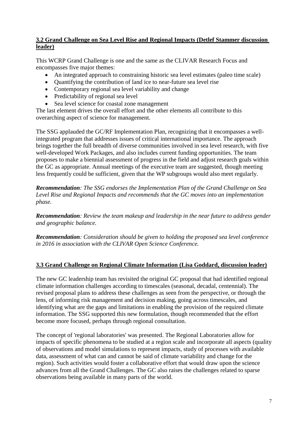### <span id="page-8-0"></span>**3.2 Grand Challenge on Sea Level Rise and Regional Impacts (Detlef Stammer discussion leader)**

This WCRP Grand Challenge is one and the same as the CLIVAR Research Focus and encompasses five major themes:

- An integrated approach to constraining historic sea level estimates (paleo time scale)
- Quantifying the contribution of land ice to near-future sea level rise
- Contemporary regional sea level variability and change
- Predictability of regional sea level
- Sea level science for coastal zone management

The last element drives the overall effort and the other elements all contribute to this overarching aspect of science for management.

The SSG applauded the GC/RF Implementation Plan, recognizing that it encompasses a wellintegrated program that addresses issues of critical international importance. The approach brings together the full breadth of diverse communities involved in sea level research, with five well-developed Work Packages, and also includes current funding opportunities. The team proposes to make a biennial assessment of progress in the field and adjust research goals within the GC as appropriate. Annual meetings of the executive team are suggested, though meeting less frequently could be sufficient, given that the WP subgroups would also meet regularly.

*Recommendation: The SSG endorses the Implementation Plan of the Grand Challenge on Sea Level Rise and Regional Impacts and recommends that the GC moves into an implementation phase.*

*Recommendation: Review the team makeup and leadership in the near future to address gender and geographic balance.* 

*Recommendation: Consideration should be given to holding the proposed sea level conference in 2016 in association with the CLIVAR Open Science Conference.*

### <span id="page-8-1"></span>**3.3 Grand Challenge on Regional Climate Information (Lisa Goddard, discussion leader)**

The new GC leadership team has revisited the original GC proposal that had identified regional climate information challenges according to timescales (seasonal, decadal, centennial). The revised proposal plans to address these challenges as seen from the perspective, or through the lens, of informing risk management and decision making, going across timescales, and identifying what are the gaps and limitations in enabling the provision of the required climate information. The SSG supported this new formulation, though recommended that the effort become more focused, perhaps through regional consultation.

The concept of 'regional laboratories' was presented. The Regional Laboratories allow for impacts of specific phenomena to be studied at a region scale and incorporate all aspects (quality of observations and model simulations to represent impacts, study of processes with available data, assessment of what can and cannot be said of climate variability and change for the region). Such activities would foster a collaborative effort that would draw upon the science advances from all the Grand Challenges. The GC also raises the challenges related to sparse observations being available in many parts of the world.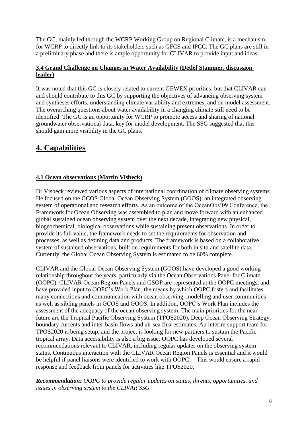The GC, mainly led through the WCRP Working Group on Regional Climate, is a mechanism for WCRP to directly link to its stakeholders such as GFCS and IPCC. The GC plans are still in a preliminary phase and there is ample opportunity for CLIVAR to provide input and ideas.

### <span id="page-9-0"></span>**3.4 Grand Challenge on Changes in Water Availability (Detlef Stammer, discussion leader)**

It was noted that this GC is closely related to current GEWEX priorities, but that CLIVAR can and should contribute to this GC by supporting the objectives of advancing observing system and syntheses efforts, understanding climate variability and extremes, and on model assessment. The overarching questions about water availability in a changing climate still need to be identified. The GC is an opportunity for WCRP to promote access and sharing of national groundwater observational data, key for model development. The SSG suggested that this should gain more visibility in the GC plans.

# <span id="page-9-1"></span>**4. Capabilities**

### <span id="page-9-2"></span>**4.1 Ocean observations (Martin Visbeck)**

Dr Visbeck reviewed various aspects of international coordination of climate observing systems. He focused on the GCOS Global Ocean Observing System (GOOS), an integrated observing system of operational and research efforts. As an outcome of the OceanObs'09 Conference, the Framework for Ocean Observing was assembled to plan and move forward with an enhanced global sustained ocean observing system over the next decade, integrating new physical, biogeochemical, biological observations while sustaining present observations. In order to provide its full value, the framework needs to set the requirements for observation and processes, as well as defining data and products. The framework is based on a collaborative system of sustained observations, built on requirements for both in situ and satellite data. Currently, the Global Ocean Observing System is estimated to be 60% complete.

CLIVAR and the Global Ocean Observing System (GOOS) have developed a good working relationship throughout the years, particularly via the Ocean Observations Panel for Climate (OOPC). CLIVAR Ocean Region Panels and GSOP are represented at the OOPC meetings, and have provided input to OOPC's Work Plan, the means by which OOPC fosters and facilitates many connections and communication with ocean observing, modelling and user communities as well as sibling panels in GCOS and GOOS. In addition, OOPC's Work Plan includes the assessment of the adequacy of the ocean observing system. The main priorities for the near future are the Tropical Pacific Observing System (TPOS2020), Deep Ocean Observing Strategy, boundary currents and inter-basin flows and air sea flux estimates. An interim support team for TPOS2020 is being setup, and the project is looking for new partners to sustain the Pacific tropical array. Data accessibility is also a big issue. OOPC has developed several recommendations relevant to CLIVAR, including regular updates on the observing system status. Continuous interaction with the CLIVAR Ocean Region Panels is essential and it would be helpful if panel liaisons were identified to work with OOPC. This would ensure a rapid response and feedback from panels for activities like TPOS2020.

*Recommendation: OOPC to provide regular updates on status, threats, opportunities, and issues in observing system to the CLIVAR SSG.*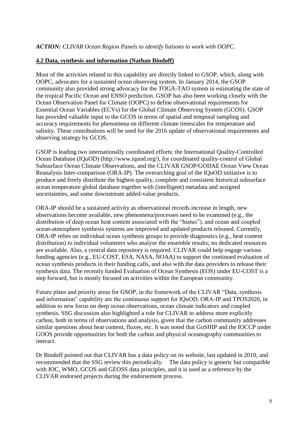### <span id="page-10-0"></span>**4.2 Data, synthesis and information (Nathan Bindoff)**

Most of the activities related to this capability are directly linked to GSOP, which, along with OOPC, advocates for a sustained ocean observing system. In January 2014, the GSOP community also provided strong advocacy for the TOGA-TAO system in estimating the state of the tropical Pacific Ocean and ENSO prediction. GSOP has also been working closely with the Ocean Observation Panel for Climate (OOPC) to define observational requirements for Essential Ocean Variables (ECVs) for the Global Climate Observing System (GCOS). GSOP has provided valuable input to the GCOS in terms of spatial and temporal sampling and accuracy requirements for phenomena on different climate timescales for temperature and salinity. These contributions will be used for the 2016 update of observational requirements and observing strategy by GCOS.

GSOP is leading two internationally coordinated efforts: the International Quality-Controlled Ocean Database (IQuOD) (http://www.iquod.org/), for coordinated quality-control of Global Subsurface Ocean Climate Observations, and the CLIVAR GSOP/GODAE Ocean View Ocean Reanalysis Inter-comparison (ORA-IP). The overarching goal of the IQuOD initiative is to produce and freely distribute the highest quality, complete and consistent historical subsurface ocean temperature global database together with (intelligent) metadata and assigned uncertainties, and some downstream added-value products.

ORA-IP should be a sustained activity as observational records increase in length, new observations become available, new phenomena/processes need to be examined (e.g., the distribution of deep ocean heat content associated with the "hiatus"), and ocean and coupled ocean-atmosphere synthesis systems are improved and updated products released. Currently, ORA-IP relies on individual ocean synthesis groups to provide diagnostics (e.g., heat content distribution) to individual volunteers who analyse the ensemble results; no dedicated resources are available. Also, a central data repository is required. CLIVAR could help engage various funding agencies (e.g., EU-COST, ESA, NASA, NOAA) to support the continued evaluation of ocean synthesis products in their funding calls, and also with the data providers to release their synthesis data. The recently funded Evaluation of Ocean Synthesis (EOS) under EU-COST is a step forward, but is mostly focused on activities within the European community.

Future plans and priority areas for GSOP, in the framework of the CLIVAR "Data, synthesis and information" capability are the continuous support for IQuOD, ORA-IP and TPOS2020, in addition to new focus on deep ocean observations, ocean climate indicators and coupled synthesis. SSG discussion also highlighted a role for CLIVAR to address more explicitly carbon, both in terms of observations and analysis, given that the carbon community addresses similar questions about heat content, fluxes, etc. It was noted that GoSHIP and the IOCCP under GOOS provide opportunities for both the carbon and physical oceanography communities to interact.

Dr Bindoff pointed out that CLIVAR has a data policy on its website, last updated in 2010, and recommended that the SSG review this periodically. The data policy is generic but compatible with IOC, WMO, GCOS and GEOSS data principles, and it is used as a reference by the CLIVAR endorsed projects during the endorsement process.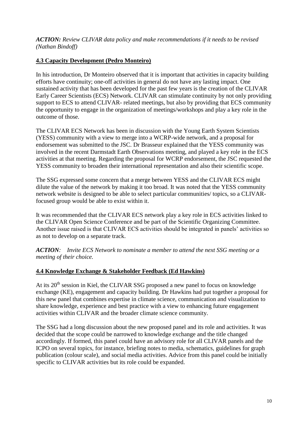*ACTION: Review CLIVAR data policy and make recommendations if it needs to be revised (Nathan Bindoff)*

### <span id="page-11-0"></span>**4.3 Capacity Development (Pedro Monteiro)**

In his introduction, Dr Monteiro observed that it is important that activities in capacity building efforts have continuity; one-off activities in general do not have any lasting impact. One sustained activity that has been developed for the past few years is the creation of the CLIVAR Early Career Scientists (ECS) Network. CLIVAR can stimulate continuity by not only providing support to ECS to attend CLIVAR- related meetings, but also by providing that ECS community the opportunity to engage in the organization of meetings/workshops and play a key role in the outcome of those.

The CLIVAR ECS Network has been in discussion with the Young Earth System Scientists (YESS) community with a view to merge into a WCRP-wide network, and a proposal for endorsement was submitted to the JSC. Dr Brasseur explained that the YESS community was involved in the recent Darmstadt Earth Observations meeting, and played a key role in the ECS activities at that meeting. Regarding the proposal for WCRP endorsement, the JSC requested the YESS community to broaden their international representation and also their scientific scope.

The SSG expressed some concern that a merge between YESS and the CLIVAR ECS might dilute the value of the network by making it too broad. It was noted that the YESS community network website is designed to be able to select particular communities/ topics, so a CLIVARfocused group would be able to exist within it.

It was recommended that the CLIVAR ECS network play a key role in ECS activities linked to the CLIVAR Open Science Conference and be part of the Scientific Organizing Committee. Another issue raised is that CLIVAR ECS activities should be integrated in panels' activities so as not to develop on a separate track.

*ACTION: Invite ECS Network to nominate a member to attend the next SSG meeting or a meeting of their choice.*

### <span id="page-11-1"></span>**4.4 Knowledge Exchange & Stakeholder Feedback (Ed Hawkins)**

At its 20<sup>th</sup> session in Kiel, the CLIVAR SSG proposed a new panel to focus on knowledge exchange (KE), engagement and capacity building. Dr Hawkins had put together a proposal for this new panel that combines expertise in climate science, communication and visualization to share knowledge, experience and best practice with a view to enhancing future engagement activities within CLIVAR and the broader climate science community.

The SSG had a long discussion about the new proposed panel and its role and activities. It was decided that the scope could be narrowed to knowledge exchange and the title changed accordingly. If formed, this panel could have an advisory role for all CLIVAR panels and the ICPO on several topics, for instance, briefing notes to media, schematics, guidelines for graph publication (colour scale), and social media activities. Advice from this panel could be initially specific to CLIVAR activities but its role could be expanded.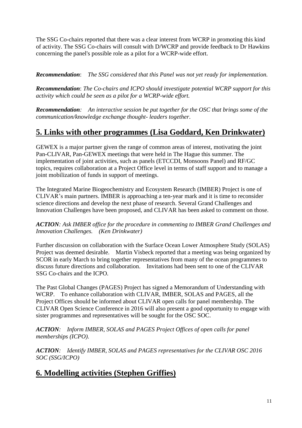The SSG Co-chairs reported that there was a clear interest from WCRP in promoting this kind of activity. The SSG Co-chairs will consult with D/WCRP and provide feedback to Dr Hawkins concerning the panel's possible role as a pilot for a WCRP-wide effort.

*Recommendation*: *The SSG considered that this Panel was not yet ready for implementation.*

*Recommendation*: *The Co-chairs and ICPO should investigate potential WCRP support for this activity which could be seen as a pilot for a WCRP-wide effort.*

*Recommendation: An interactive session be put together for the OSC that brings some of the communication/knowledge exchange thought- leaders together*.

### <span id="page-12-0"></span>**5. Links with other programmes (Lisa Goddard, Ken Drinkwater)**

GEWEX is a major partner given the range of common areas of interest, motivating the joint Pan-CLIVAR, Pan-GEWEX meetings that were held in The Hague this summer. The implementation of joint activities, such as panels (ETCCDI, Monsoons Panel) and RF/GC topics, requires collaboration at a Project Office level in terms of staff support and to manage a joint mobilization of funds in support of meetings.

The Integrated Marine Biogeochemistry and Ecosystem Research (IMBER) Project is one of CLIVAR's main partners. IMBER is approaching a ten-year mark and it is time to reconsider science directions and develop the next phase of research. Several Grand Challenges and Innovation Challenges have been proposed, and CLIVAR has been asked to comment on those.

*ACTION: Ask IMBER office for the procedure in commenting to IMBER Grand Challenges and Innovation Challenges. (Ken Drinkwater)*

Further discussion on collaboration with the Surface Ocean Lower Atmosphere Study (SOLAS) Project was deemed desirable. Martin Visbeck reported that a meeting was being organized by SCOR in early March to bring together representatives from many of the ocean programmes to discuss future directions and collaboration. Invitations had been sent to one of the CLIVAR SSG Co-chairs and the ICPO.

The Past Global Changes (PAGES) Project has signed a Memorandum of Understanding with WCRP. To enhance collaboration with CLIVAR, IMBER, SOLAS and PAGES, all the Project Offices should be informed about CLIVAR open calls for panel membership. The CLIVAR Open Science Conference in 2016 will also present a good opportunity to engage with sister programmes and representatives will be sought for the OSC SOC.

*ACTION: Inform IMBER, SOLAS and PAGES Project Offices of open calls for panel memberships (ICPO).*

*ACTION: Identify IMBER, SOLAS and PAGES representatives for the CLIVAR OSC 2016 SOC (SSG/ICPO)*

### <span id="page-12-1"></span>**6. Modelling activities (Stephen Griffies)**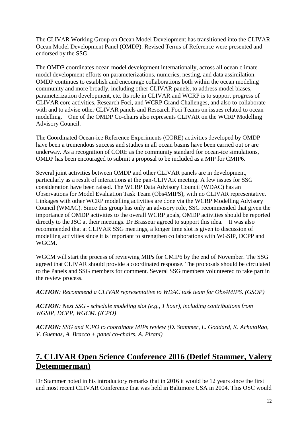The CLIVAR Working Group on Ocean Model Development has transitioned into the CLIVAR Ocean Model Development Panel (OMDP). Revised Terms of Reference were presented and endorsed by the SSG.

The OMDP coordinates ocean model development internationally, across all ocean climate model development efforts on parameterizations, numerics, nesting, and data assimilation. OMDP continues to establish and encourage collaborations both within the ocean modeling community and more broadly, including other CLIVAR panels, to address model biases, parameterization development, etc. Its role in CLIVAR and WCRP is to support progress of CLIVAR core activities, Research Foci, and WCRP Grand Challenges, and also to collaborate with and to advise other CLIVAR panels and Research Foci Teams on issues related to ocean modelling. One of the OMDP Co-chairs also represents CLIVAR on the WCRP Modelling Advisory Council.

The Coordinated Ocean-ice Reference Experiments (CORE) activities developed by OMDP have been a tremendous success and studies in all ocean basins have been carried out or are underway. As a recognition of CORE as the community standard for ocean-ice simulations, OMDP has been encouraged to submit a proposal to be included as a MIP for CMIP6.

Several joint activities between OMDP and other CLIVAR panels are in development, particularly as a result of interactions at the pan-CLIVAR meeting. A few issues for SSG consideration have been raised. The WCRP Data Advisory Council (WDAC) has an Observations for Model Evaluation Task Team (Obs4MIPS), with no CLIVAR representative. Linkages with other WCRP modelling activities are done via the WCRP Modelling Advisory Council (WMAC). Since this group has only an advisory role, SSG recommended that given the importance of OMDP activities to the overall WCRP goals, OMDP activities should be reported directly to the JSC at their meetings. Dr Brasseur agreed to support this idea. It was also recommended that at CLIVAR SSG meetings, a longer time slot is given to discussion of modelling activities since it is important to strengthen collaborations with WGSIP, DCPP and WGCM.

WGCM will start the process of reviewing MIPs for CMIP6 by the end of November. The SSG agreed that CLIVAR should provide a coordinated response. The proposals should be circulated to the Panels and SSG members for comment. Several SSG members volunteered to take part in the review process.

*ACTION: Recommend a CLIVAR representative to WDAC task team for Obs4MIPS. (GSOP)*

*ACTION: Next SSG - schedule modeling slot (e.g., 1 hour), including contributions from WGSIP, DCPP, WGCM. (ICPO)*

*ACTION: SSG and ICPO to coordinate MIPs review (D. Stammer, L. Goddard, K. AchutaRao, V. Guemas, A. Bracco + panel co-chairs, A. Pirani)*

# <span id="page-13-0"></span>**7. CLIVAR Open Science Conference 2016 (Detlef Stammer, Valery Detemmerman)**

Dr Stammer noted in his introductory remarks that in 2016 it would be 12 years since the first and most recent CLIVAR Conference that was held in Baltimore USA in 2004. This OSC would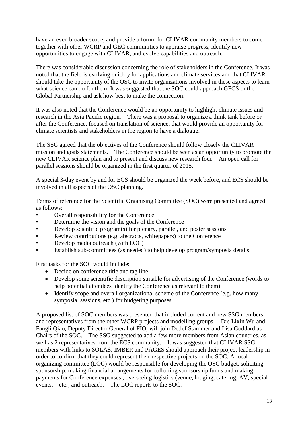have an even broader scope, and provide a forum for CLIVAR community members to come together with other WCRP and GEC communities to appraise progress, identify new opportunities to engage with CLIVAR, and evolve capabilities and outreach.

There was considerable discussion concerning the role of stakeholders in the Conference. It was noted that the field is evolving quickly for applications and climate services and that CLIVAR should take the opportunity of the OSC to invite organizations involved in these aspects to learn what science can do for them. It was suggested that the SOC could approach GFCS or the Global Partnership and ask how best to make the connection.

It was also noted that the Conference would be an opportunity to highlight climate issues and research in the Asia Pacific region. There was a proposal to organize a think tank before or after the Conference, focused on translation of science, that would provide an opportunity for climate scientists and stakeholders in the region to have a dialogue.

The SSG agreed that the objectives of the Conference should follow closely the CLIVAR mission and goals statements. The Conference should be seen as an opportunity to promote the new CLIVAR science plan and to present and discuss new research foci. An open call for parallel sessions should be organized in the first quarter of 2015.

A special 3-day event by and for ECS should be organized the week before, and ECS should be involved in all aspects of the OSC planning.

Terms of reference for the Scientific Organising Committee (SOC) were presented and agreed as follows:

- Overall responsibility for the Conference
- Determine the vision and the goals of the Conference
- Develop scientific program(s) for plenary, parallel, and poster sessions
- Review contributions (e.g. abstracts, whitepapers) to the Conference
- Develop media outreach (with LOC)
- Establish sub-committees (as needed) to help develop program/symposia details.

First tasks for the SOC would include:

- Decide on conference title and tag line
- Develop some scientific description suitable for advertising of the Conference (words to help potential attendees identify the Conference as relevant to them)
- Identify scope and overall organizational scheme of the Conference (e.g. how many symposia, sessions, etc.) for budgeting purposes.

A proposed list of SOC members was presented that included current and new SSG members and representatives from the other WCRP projects and modelling groups. Drs Lixin Wu and Fangli Qiao, Deputy Director General of FIO, will join Detlef Stammer and Lisa Goddard as Chairs of the SOC. The SSG suggested to add a few more members from Asian countries, as well as 2 representatives from the ECS community. It was suggested that CLIVAR SSG members with links to SOLAS, IMBER and PAGES should approach their project leadership in order to confirm that they could represent their respective projects on the SOC. A local organizing committee (LOC) would be responsible for developing the OSC budget, soliciting sponsorship, making financial arrangements for collecting sponsorship funds and making payments for Conference expenses , overseeing logistics (venue, lodging, catering, AV, special events, etc.) and outreach. The LOC reports to the SOC.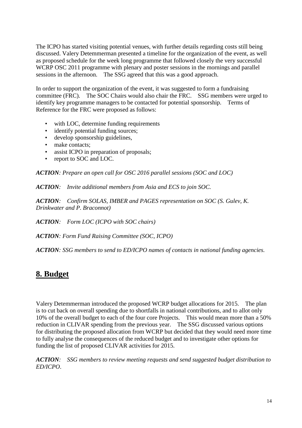The ICPO has started visiting potential venues, with further details regarding costs still being discussed. Valery Detemmerman presented a timeline for the organization of the event, as well as proposed schedule for the week long programme that followed closely the very successful WCRP OSC 2011 programme with plenary and poster sessions in the mornings and parallel sessions in the afternoon. The SSG agreed that this was a good approach.

In order to support the organization of the event, it was suggested to form a fundraising committee (FRC). The SOC Chairs would also chair the FRC. SSG members were urged to identify key programme managers to be contacted for potential sponsorship. Terms of Reference for the FRC were proposed as follows:

- with LOC, determine funding requirements
- identify potential funding sources;
- develop sponsorship guidelines,
- make contacts;
- assist ICPO in preparation of proposals;
- report to SOC and LOC.

*ACTION: Prepare an open call for OSC 2016 parallel sessions (SOC and LOC)*

*ACTION: Invite additional members from Asia and ECS to join SOC.*

*ACTION: Confirm SOLAS, IMBER and PAGES representation on SOC (S. Gulev, K. Drinkwater and P. Braconnot)*

*ACTION: Form LOC (ICPO with SOC chairs)*

*ACTION: Form Fund Raising Committee (SOC, ICPO)*

*ACTION: SSG members to send to ED/ICPO names of contacts in national funding agencies.*

### <span id="page-15-0"></span>**8. Budget**

Valery Detemmerman introduced the proposed WCRP budget allocations for 2015. The plan is to cut back on overall spending due to shortfalls in national contributions, and to allot only 10% of the overall budget to each of the four core Projects. This would mean more than a 50% reduction in CLIVAR spending from the previous year. The SSG discussed various options for distributing the proposed allocation from WCRP but decided that they would need more time to fully analyse the consequences of the reduced budget and to investigate other options for funding the list of proposed CLIVAR activities for 2015.

*ACTION: SSG members to review meeting requests and send suggested budget distribution to ED/ICPO*.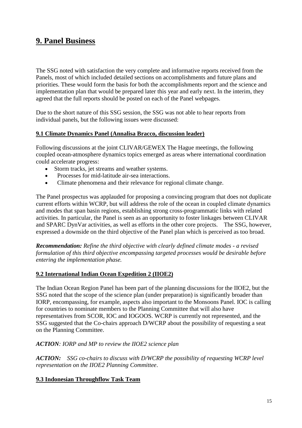### <span id="page-16-0"></span>**9. Panel Business**

The SSG noted with satisfaction the very complete and informative reports received from the Panels, most of which included detailed sections on accomplishments and future plans and priorities. These would form the basis for both the accomplishments report and the science and implementation plan that would be prepared later this year and early next. In the interim, they agreed that the full reports should be posted on each of the Panel webpages.

Due to the short nature of this SSG session, the SSG was not able to hear reports from individual panels, but the following issues were discussed:

### <span id="page-16-1"></span>**9.1 Climate Dynamics Panel (Annalisa Bracco, discussion leader)**

Following discussions at the joint CLIVAR/GEWEX The Hague meetings, the following coupled ocean-atmosphere dynamics topics emerged as areas where international coordination could accelerate progress:

- Storm tracks, jet streams and weather systems.
- Processes for mid-latitude air-sea interactions.
- Climate phenomena and their relevance for regional climate change.

The Panel prospectus was applauded for proposing a convincing program that does not duplicate current efforts within WCRP, but will address the role of the ocean in coupled climate dynamics and modes that span basin regions, establishing strong cross-programmatic links with related activities. In particular, the Panel is seen as an opportunity to foster linkages between CLIVAR and SPARC DynVar activities, as well as efforts in the other core projects. The SSG, however, expressed a downside on the third objective of the Panel plan which is perceived as too broad.

*Recommendation: Refine the third objective with clearly defined climate modes - a revised formulation of this third objective encompassing targeted processes would be desirable before entering the implementation phase.*

### <span id="page-16-2"></span>**9.2 International Indian Ocean Expedition 2 (IIOE2)**

The Indian Ocean Region Panel has been part of the planning discussions for the IIOE2, but the SSG noted that the scope of the science plan (under preparation) is significantly broader than IORP, encompassing, for example, aspects also important to the Monsoons Panel. IOC is calling for countries to nominate members to the Planning Committee that will also have representatives from SCOR, IOC and IOGOOS. WCRP is currently not represented, and the SSG suggested that the Co-chairs approach D/WCRP about the possibility of requesting a seat on the Planning Committee.

### *ACTION: IORP and MP to review the IIOE2 science plan*

*ACTION: SSG co-chairs to discuss with D/WCRP the possibility of requesting WCRP level representation on the IIOE2 Planning Committee*.

### <span id="page-16-3"></span>**9.3 Indonesian Throughflow Task Team**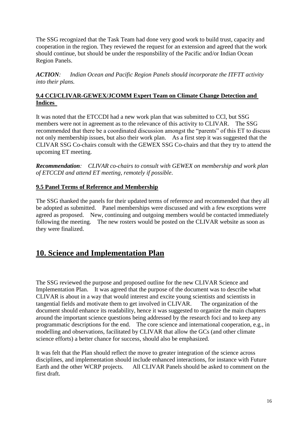The SSG recognized that the Task Team had done very good work to build trust, capacity and cooperation in the region. They reviewed the request for an extension and agreed that the work should continue, but should be under the responsbility of the Pacific and/or Indian Ocean Region Panels.

*ACTION: Indian Ocean and Pacific Region Panels should incorporate the ITFTT activity into their plans.*

### <span id="page-17-0"></span>**9.4 CCl/CLIVAR-GEWEX/JCOMM Expert Team on Climate Change Detection and Indices**

It was noted that the ETCCDI had a new work plan that was submitted to CCl, but SSG members were not in agreement as to the relevance of this activity to CLIVAR. The SSG recommended that there be a coordinated discussion amongst the "parents" of this ET to discuss not only membership issues, but also their work plan. As a first step it was suggested that the CLIVAR SSG Co-chairs consult with the GEWEX SSG Co-chairs and that they try to attend the upcoming ET meeting.

*Recommendation: CLIVAR co-chairs to consult with GEWEX on membership and work plan of ETCCDI and attend ET meeting, remotely if possible*.

### <span id="page-17-1"></span>**9.5 Panel Terms of Reference and Membership**

The SSG thanked the panels for their updated terms of reference and recommended that they all be adopted as submitted. Panel memberships were discussed and with a few exceptions were agreed as proposed. New, continuing and outgoing members would be contacted immediately following the meeting. The new rosters would be posted on the CLIVAR website as soon as they were finalized.

# <span id="page-17-2"></span>**10. Science and Implementation Plan**

The SSG reviewed the purpose and proposed outline for the new CLIVAR Science and Implementation Plan. It was agreed that the purpose of the document was to describe what CLIVAR is about in a way that would interest and excite young scientists and scientists in tangential fields and motivate them to get involved in CLIVAR. The organization of the document should enhance its readability, hence it was suggested to organize the main chapters around the important science questions being addressed by the research foci and to keep any programmatic descriptions for the end. The core science and international cooperation, e.g., in modelling and observations, facilitated by CLIVAR that allow the GCs (and other climate science efforts) a better chance for success, should also be emphasized.

It was felt that the Plan should reflect the move to greater integration of the science across disciplines, and implementation should include enhanced interactions, for instance with Future Earth and the other WCRP projects. All CLIVAR Panels should be asked to comment on the first draft.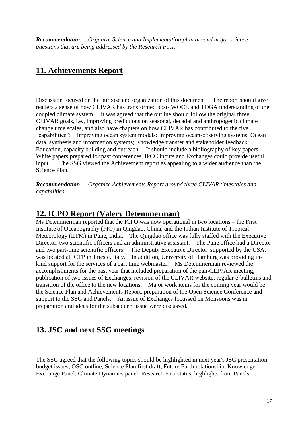*Recommendation: Organize Science and Implementation plan around major science questions that are being addressed by the Research Foci.*

### <span id="page-18-0"></span>**11. Achievements Report**

Discussion focused on the purpose and organization of this document. The report should give readers a sense of how CLIVAR has transformed post- WOCE and TOGA understanding of the coupled climate system. It was agreed that the outline should follow the original three CLIVAR goals, i.e., improving predictions on seasonal, decadal and anthropogenic climate change time scales, and also have chapters on how CLIVAR has contributed to the five "capabilities": Improving ocean system models; Improving ocean-observing systems; Ocean data, synthesis and information systems; Knowledge transfer and stakeholder feedback; Education, capacity building and outreach. It should include a bibliography of key papers. White papers prepared for past conferences, IPCC inputs and Exchanges could provide useful input. The SSG viewed the Achievement report as appealing to a wider audience than the Science Plan.

*Recommendation: Organize Achievements Report around three CLIVAR timescales and capabilities.*

### <span id="page-18-1"></span>**12. ICPO Report (Valery Detemmerman)**

Ms Detemmerman reported that the ICPO was now operational in two locations – the First Institute of Oceanography (FIO) in Qingdao, China, and the Indian Institute of Tropical Meteorology (IITM) in Pune, India. The Qingdao office was fully staffed with the Executive Director, two scientific officers and an administrative assistant. The Pune office had a Director and two part-time scientific officers. The Deputy Executive Director, supported by the USA, was located at ICTP in Trieste, Italy. In addition, University of Hamburg was providing inkind support for the services of a part time webmaster. Ms Detemmerman reviewed the accomplishments for the past year that included preparation of the pan-CLIVAR meeting, publication of two issues of Exchanges, revision of the CLIVAR website, regular e-bulletins and transition of the office to the new locations. Major work items for the coming year would be the Science Plan and Achievements Report, preparation of the Open Science Conference and support to the SSG and Panels. An issue of Exchanges focussed on Monsoons was in preparation and ideas for the subsequent issue were discussed.

### <span id="page-18-2"></span>**13. JSC and next SSG meetings**

The SSG agreed that the following topics should be highlighted in next year's JSC presentation: budget issues, OSC outline, Science Plan first draft, Future Earth relationship, Knowledge Exchange Panel, Climate Dynamics panel, Research Foci status, highlights from Panels.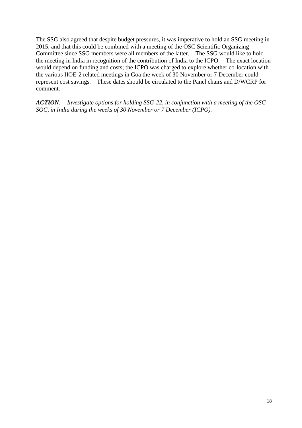The SSG also agreed that despite budget pressures, it was imperative to hold an SSG meeting in 2015, and that this could be combined with a meeting of the OSC Scientific Organizing Committee since SSG members were all members of the latter. The SSG would like to hold the meeting in India in recognition of the contribution of India to the ICPO. The exact location would depend on funding and costs; the ICPO was charged to explore whether co-location with the various IIOE-2 related meetings in Goa the week of 30 November or 7 December could represent cost savings. These dates should be circulated to the Panel chairs and D/WCRP for comment.

*ACTION: Investigate options for holding SSG-22, in conjunction with a meeting of the OSC SOC, in India during the weeks of 30 November or 7 December (ICPO).*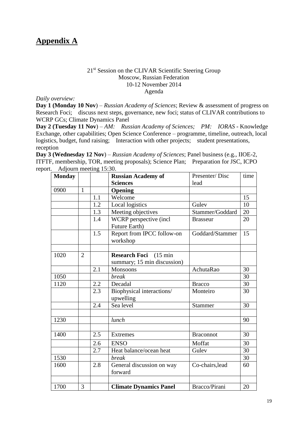### <span id="page-20-0"></span>**Appendix A**

#### 21<sup>st</sup> Session on the CLIVAR Scientific Steering Group Moscow, Russian Federation 10-12 November 2014 Agenda

*Daily overview:*

**Day 1 (Monday 10 Nov**) – *Russian Academy of Sciences*; Review & assessment of progress on Research Foci; discuss next steps, governance, new foci; status of CLIVAR contributions to WCRP GCs; Climate Dynamics Panel

**Day 2 (Tuesday 11 Nov**) – *AM: Russian Academy of Sciences; PM: IORAS* - Knowledge Exchange, other capabilities; Open Science Conference – programme, timeline, outreach, local logistics, budget, fund raising; Interaction with other projects; student presentations, reception

**Day 3 (Wednesday 12 Nov**) – *Russian Academy of Sciences*; Panel business (e.g., IIOE-2, ITFTF, membership, TOR, meeting proposals); Science Plan; Preparation for JSC, ICPO report. Adjourn meeting 15:30.

| <b>Monday</b> |                |     | <b>Russian Academy of</b>                  | Presenter/Disc   | time |
|---------------|----------------|-----|--------------------------------------------|------------------|------|
|               |                |     | <b>Sciences</b>                            | lead             |      |
| 0900          | $\mathbf{1}$   |     | <b>Opening</b>                             |                  |      |
|               |                | 1.1 | Welcome                                    |                  | 15   |
|               |                | 1.2 | Local logistics                            | Gulev            | 10   |
|               |                | 1.3 | Meeting objectives                         | Stammer/Goddard  | 20   |
|               |                | 1.4 | WCRP perspective (incl                     | <b>Brasseur</b>  | 20   |
|               |                |     | Future Earth)                              |                  |      |
|               |                | 1.5 | Report from IPCC follow-on                 | Goddard/Stammer  | 15   |
|               |                |     | workshop                                   |                  |      |
|               |                |     |                                            |                  |      |
| 1020          | $\overline{2}$ |     | <b>Research Foci</b><br>$(15 \text{ min})$ |                  |      |
|               |                |     | summary; 15 min discussion)                |                  |      |
|               |                | 2.1 | Monsoons                                   | AchutaRao        | 30   |
| 1050          |                |     | <b>break</b>                               |                  | 30   |
| 1120          |                | 2.2 | Decadal                                    | <b>Bracco</b>    | 30   |
|               |                | 2.3 | Biophysical interactions/<br>upwelling     | Monteiro         | 30   |
|               |                | 2.4 | Sea level                                  | <b>Stammer</b>   | 30   |
|               |                |     |                                            |                  |      |
| 1230          |                |     | lunch                                      |                  | 90   |
|               |                |     |                                            |                  |      |
| 1400          |                | 2.5 | <b>Extremes</b>                            | <b>Braconnot</b> | 30   |
|               |                | 2.6 | <b>ENSO</b>                                | Moffat           | 30   |
|               |                | 2.7 | Heat balance/ocean heat                    | Gulev            | 30   |
| 1530          |                |     | <b>break</b>                               |                  | 30   |
| 1600          |                | 2.8 | General discussion on way<br>forward       | Co-chairs, lead  | 60   |
|               |                |     |                                            |                  |      |
|               |                |     |                                            |                  |      |
| 1700          | 3              |     | <b>Climate Dynamics Panel</b>              | Bracco/Pirani    | 20   |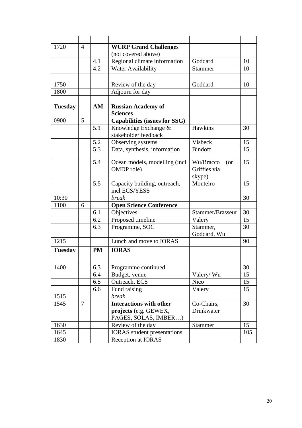| 1720           | $\overline{4}$ |           | <b>WCRP Grand Challenges</b>                 |                                  |     |
|----------------|----------------|-----------|----------------------------------------------|----------------------------------|-----|
|                |                |           | (not covered above)                          |                                  |     |
|                |                | 4.1       | Regional climate information                 | Goddard                          | 10  |
|                |                | 4.2       | Water Availability                           | <b>Stammer</b>                   | 10  |
|                |                |           |                                              |                                  |     |
| 1750           |                |           | Review of the day                            | Goddard                          | 10  |
| 1800           |                |           | Adjourn for day                              |                                  |     |
|                |                |           |                                              |                                  |     |
| <b>Tuesday</b> |                | AM        | <b>Russian Academy of</b><br><b>Sciences</b> |                                  |     |
| 0900           | 5              |           | <b>Capabilities (issues for SSG)</b>         |                                  |     |
|                |                | 5.1       | Knowledge Exchange &<br>stakeholder feedback | Hawkins                          | 30  |
|                |                | 5.2       | Observing systems                            | <b>Visbeck</b>                   | 15  |
|                |                | 5.3       | Data, synthesis, information                 | <b>Bindoff</b>                   | 15  |
|                |                |           |                                              |                                  |     |
|                |                | 5.4       | Ocean models, modelling (incl.               | Wu/Bracco<br>(or<br>Griffies via | 15  |
|                |                |           | OMDP role)                                   |                                  |     |
|                |                | 5.5       | Capacity building, outreach,                 | skype)<br>Monteiro               | 15  |
|                |                |           | incl ECS/YESS                                |                                  |     |
| 10:30          |                |           | <b>break</b>                                 |                                  | 30  |
| 1100           | 6              |           | <b>Open Science Conference</b>               |                                  |     |
|                |                | 6.1       | Objectives                                   | Stammer/Brasseur                 | 30  |
|                |                | 6.2       | Proposed timeline                            | Valery                           | 15  |
|                |                | 6.3       | Programme, SOC                               | Stammer,<br>Goddard, Wu          | 30  |
| 1215           |                |           | Lunch and move to <b>IORAS</b>               |                                  | 90  |
| <b>Tuesday</b> |                | <b>PM</b> | <b>IORAS</b>                                 |                                  |     |
|                |                |           |                                              |                                  |     |
| 1400           |                | 6.3       | Programme continued                          |                                  | 30  |
|                |                | 6.4       | Budget, venue                                | Valery/Wu                        | 15  |
|                |                | 6.5       | Outreach, ECS                                | Nico                             | 15  |
|                |                | 6.6       | Fund raising                                 | Valery                           | 15  |
| 1515           |                |           | <b>break</b>                                 |                                  |     |
| 1545           | $\overline{7}$ |           | <b>Interactions with other</b>               | Co-Chairs,                       | 30  |
|                |                |           | projects (e.g. GEWEX,                        | Drinkwater                       |     |
|                |                |           | PAGES, SOLAS, IMBER)                         |                                  |     |
| 1630           |                |           | Review of the day                            | <b>Stammer</b>                   | 15  |
| 1645           |                |           | <b>IORAS</b> student presentations           |                                  | 105 |
| 1830           |                |           | Reception at IORAS                           |                                  |     |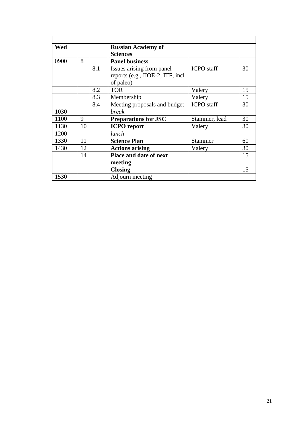| Wed  |    |     | <b>Russian Academy of</b>        |                   |    |
|------|----|-----|----------------------------------|-------------------|----|
|      |    |     | <b>Sciences</b>                  |                   |    |
| 0900 | 8  |     | <b>Panel business</b>            |                   |    |
|      |    | 8.1 | Issues arising from panel        | <b>ICPO</b> staff | 30 |
|      |    |     | reports (e.g., IIOE-2, ITF, incl |                   |    |
|      |    |     | of paleo)                        |                   |    |
|      |    | 8.2 | <b>TOR</b>                       | Valery            | 15 |
|      |    | 8.3 | Membership                       | Valery            | 15 |
|      |    | 8.4 | Meeting proposals and budget     | ICPO staff        | 30 |
| 1030 |    |     | <b>break</b>                     |                   |    |
| 1100 | 9  |     | <b>Preparations for JSC</b>      | Stammer, lead     | 30 |
| 1130 | 10 |     | <b>ICPO</b> report               | Valery            | 30 |
| 1200 |    |     | lunch                            |                   |    |
| 1330 | 11 |     | <b>Science Plan</b>              | <b>Stammer</b>    | 60 |
| 1430 | 12 |     | <b>Actions arising</b>           | Valery            | 30 |
|      | 14 |     | Place and date of next           |                   | 15 |
|      |    |     | meeting                          |                   |    |
|      |    |     | <b>Closing</b>                   |                   | 15 |
| 1530 |    |     | Adjourn meeting                  |                   |    |